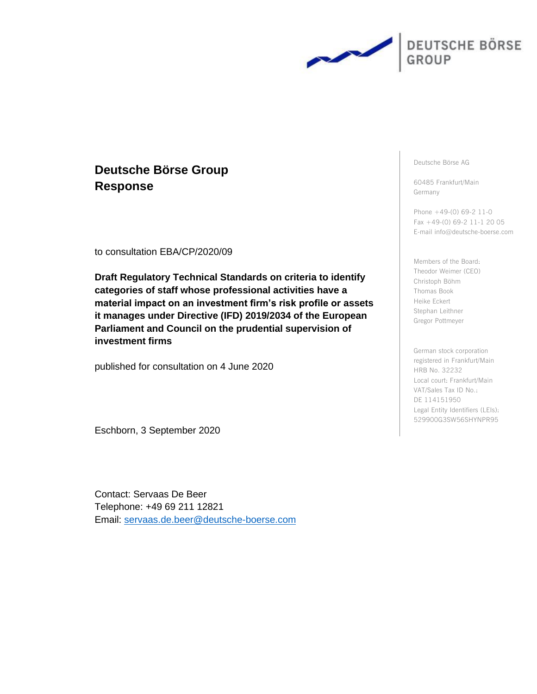

# **Deutsche Börse Group Response**

to consultation EBA/CP/2020/09

**Draft Regulatory Technical Standards on criteria to identify categories of staff whose professional activities have a material impact on an investment firm's risk profile or assets it manages under Directive (IFD) 2019/2034 of the European Parliament and Council on the prudential supervision of investment firms**

published for consultation on 4 June 2020

Eschborn, 3 September 2020

Contact: Servaas De Beer Telephone: +49 69 211 12821 Email: [servaas.de.beer@deutsche-boerse.com](mailto:servaas.de.beer@deutsche-boerse.com) Deutsche Börse AG

60485 Frankfurt/Main Germany

Phone +49-(0) 69-2 11-0 Fax +49-(0) 69-2 11-1 20 05 E-mail info@deutsche-boerse.com

Members of the Board: Theodor Weimer (CEO) Christoph Böhm Thomas Book Heike Eckert Stephan Leithner Gregor Pottmeyer

German stock corporation registered in Frankfurt/Main HRB No. 32232 Local court: Frankfurt/Main VAT/Sales Tax ID No.: DE 114151950 Legal Entity Identifiers (LEIs): 529900G3SW56SHYNPR95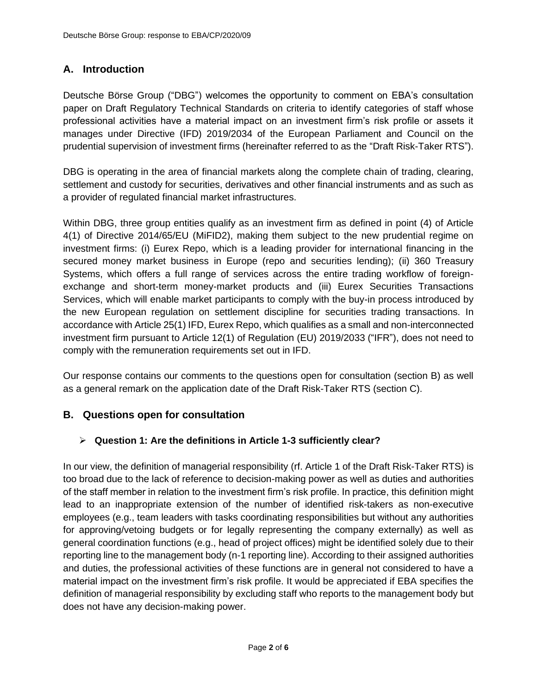# **A. Introduction**

Deutsche Börse Group ("DBG") welcomes the opportunity to comment on EBA's consultation paper on Draft Regulatory Technical Standards on criteria to identify categories of staff whose professional activities have a material impact on an investment firm's risk profile or assets it manages under Directive (IFD) 2019/2034 of the European Parliament and Council on the prudential supervision of investment firms (hereinafter referred to as the "Draft Risk-Taker RTS").

DBG is operating in the area of financial markets along the complete chain of trading, clearing, settlement and custody for securities, derivatives and other financial instruments and as such as a provider of regulated financial market infrastructures.

Within DBG, three group entities qualify as an investment firm as defined in point (4) of Article 4(1) of Directive 2014/65/EU (MiFID2), making them subject to the new prudential regime on investment firms: (i) Eurex Repo, which is a leading provider for international financing in the secured money market business in Europe (repo and securities lending); (ii) 360 Treasury Systems, which offers a full range of services across the entire trading workflow of foreignexchange and short-term money-market products and (iii) Eurex Securities Transactions Services, which will enable market participants to comply with the buy-in process introduced by the new European regulation on settlement discipline for securities trading transactions. In accordance with Article 25(1) IFD, Eurex Repo, which qualifies as a small and non-interconnected investment firm pursuant to Article 12(1) of Regulation (EU) 2019/2033 ("IFR"), does not need to comply with the remuneration requirements set out in IFD.

Our response contains our comments to the questions open for consultation (section B) as well as a general remark on the application date of the Draft Risk-Taker RTS (section C).

## **B. Questions open for consultation**

## ➢ **Question 1: Are the definitions in Article 1-3 sufficiently clear?**

In our view, the definition of managerial responsibility (rf. Article 1 of the Draft Risk-Taker RTS) is too broad due to the lack of reference to decision-making power as well as duties and authorities of the staff member in relation to the investment firm's risk profile. In practice, this definition might lead to an inappropriate extension of the number of identified risk-takers as non-executive employees (e.g., team leaders with tasks coordinating responsibilities but without any authorities for approving/vetoing budgets or for legally representing the company externally) as well as general coordination functions (e.g., head of project offices) might be identified solely due to their reporting line to the management body (n-1 reporting line). According to their assigned authorities and duties, the professional activities of these functions are in general not considered to have a material impact on the investment firm's risk profile. It would be appreciated if EBA specifies the definition of managerial responsibility by excluding staff who reports to the management body but does not have any decision-making power.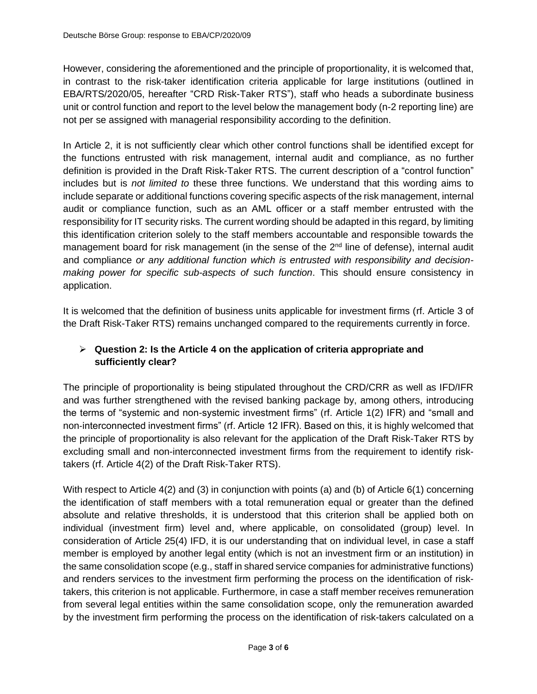However, considering the aforementioned and the principle of proportionality, it is welcomed that, in contrast to the risk-taker identification criteria applicable for large institutions (outlined in EBA/RTS/2020/05, hereafter "CRD Risk-Taker RTS"), staff who heads a subordinate business unit or control function and report to the level below the management body (n-2 reporting line) are not per se assigned with managerial responsibility according to the definition.

In Article 2, it is not sufficiently clear which other control functions shall be identified except for the functions entrusted with risk management, internal audit and compliance, as no further definition is provided in the Draft Risk-Taker RTS. The current description of a "control function" includes but is *not limited to* these three functions. We understand that this wording aims to include separate or additional functions covering specific aspects of the risk management, internal audit or compliance function, such as an AML officer or a staff member entrusted with the responsibility for IT security risks. The current wording should be adapted in this regard, by limiting this identification criterion solely to the staff members accountable and responsible towards the management board for risk management (in the sense of the  $2<sup>nd</sup>$  line of defense), internal audit and compliance *or any additional function which is entrusted with responsibility and decisionmaking power for specific sub-aspects of such function*. This should ensure consistency in application.

It is welcomed that the definition of business units applicable for investment firms (rf. Article 3 of the Draft Risk-Taker RTS) remains unchanged compared to the requirements currently in force.

### ➢ **Question 2: Is the Article 4 on the application of criteria appropriate and sufficiently clear?**

The principle of proportionality is being stipulated throughout the CRD/CRR as well as IFD/IFR and was further strengthened with the revised banking package by, among others, introducing the terms of "systemic and non-systemic investment firms" (rf. Article 1(2) IFR) and "small and non‐interconnected investment firms" (rf. Article 12 IFR). Based on this, it is highly welcomed that the principle of proportionality is also relevant for the application of the Draft Risk-Taker RTS by excluding small and non-interconnected investment firms from the requirement to identify risktakers (rf. Article 4(2) of the Draft Risk-Taker RTS).

With respect to Article 4(2) and (3) in conjunction with points (a) and (b) of Article 6(1) concerning the identification of staff members with a total remuneration equal or greater than the defined absolute and relative thresholds, it is understood that this criterion shall be applied both on individual (investment firm) level and, where applicable, on consolidated (group) level. In consideration of Article 25(4) IFD, it is our understanding that on individual level, in case a staff member is employed by another legal entity (which is not an investment firm or an institution) in the same consolidation scope (e.g., staff in shared service companies for administrative functions) and renders services to the investment firm performing the process on the identification of risktakers, this criterion is not applicable. Furthermore, in case a staff member receives remuneration from several legal entities within the same consolidation scope, only the remuneration awarded by the investment firm performing the process on the identification of risk-takers calculated on a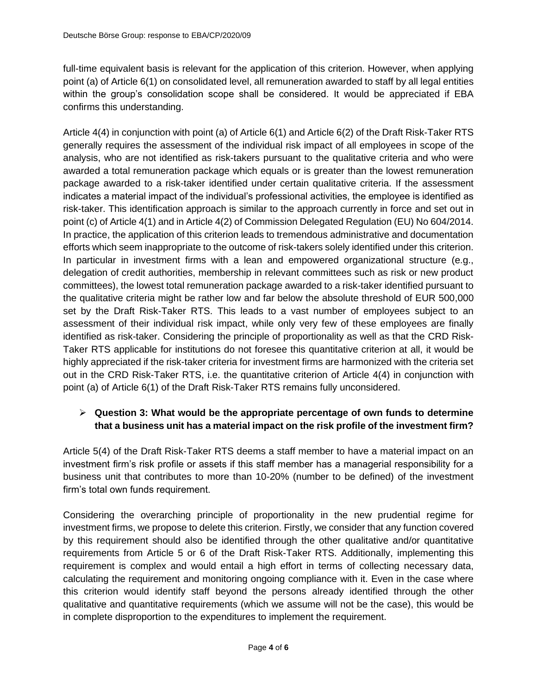full-time equivalent basis is relevant for the application of this criterion. However, when applying point (a) of Article 6(1) on consolidated level, all remuneration awarded to staff by all legal entities within the group's consolidation scope shall be considered. It would be appreciated if EBA confirms this understanding.

Article 4(4) in conjunction with point (a) of Article 6(1) and Article 6(2) of the Draft Risk-Taker RTS generally requires the assessment of the individual risk impact of all employees in scope of the analysis, who are not identified as risk-takers pursuant to the qualitative criteria and who were awarded a total remuneration package which equals or is greater than the lowest remuneration package awarded to a risk-taker identified under certain qualitative criteria. If the assessment indicates a material impact of the individual's professional activities, the employee is identified as risk-taker. This identification approach is similar to the approach currently in force and set out in point (c) of Article 4(1) and in Article 4(2) of Commission Delegated Regulation (EU) No 604/2014. In practice, the application of this criterion leads to tremendous administrative and documentation efforts which seem inappropriate to the outcome of risk-takers solely identified under this criterion. In particular in investment firms with a lean and empowered organizational structure (e.g., delegation of credit authorities, membership in relevant committees such as risk or new product committees), the lowest total remuneration package awarded to a risk-taker identified pursuant to the qualitative criteria might be rather low and far below the absolute threshold of EUR 500,000 set by the Draft Risk-Taker RTS. This leads to a vast number of employees subject to an assessment of their individual risk impact, while only very few of these employees are finally identified as risk-taker. Considering the principle of proportionality as well as that the CRD Risk-Taker RTS applicable for institutions do not foresee this quantitative criterion at all, it would be highly appreciated if the risk-taker criteria for investment firms are harmonized with the criteria set out in the CRD Risk-Taker RTS, i.e. the quantitative criterion of Article 4(4) in conjunction with point (a) of Article 6(1) of the Draft Risk-Taker RTS remains fully unconsidered.

#### ➢ **Question 3: What would be the appropriate percentage of own funds to determine that a business unit has a material impact on the risk profile of the investment firm?**

Article 5(4) of the Draft Risk-Taker RTS deems a staff member to have a material impact on an investment firm's risk profile or assets if this staff member has a managerial responsibility for a business unit that contributes to more than 10-20% (number to be defined) of the investment firm's total own funds requirement.

Considering the overarching principle of proportionality in the new prudential regime for investment firms, we propose to delete this criterion. Firstly, we consider that any function covered by this requirement should also be identified through the other qualitative and/or quantitative requirements from Article 5 or 6 of the Draft Risk-Taker RTS. Additionally, implementing this requirement is complex and would entail a high effort in terms of collecting necessary data, calculating the requirement and monitoring ongoing compliance with it. Even in the case where this criterion would identify staff beyond the persons already identified through the other qualitative and quantitative requirements (which we assume will not be the case), this would be in complete disproportion to the expenditures to implement the requirement.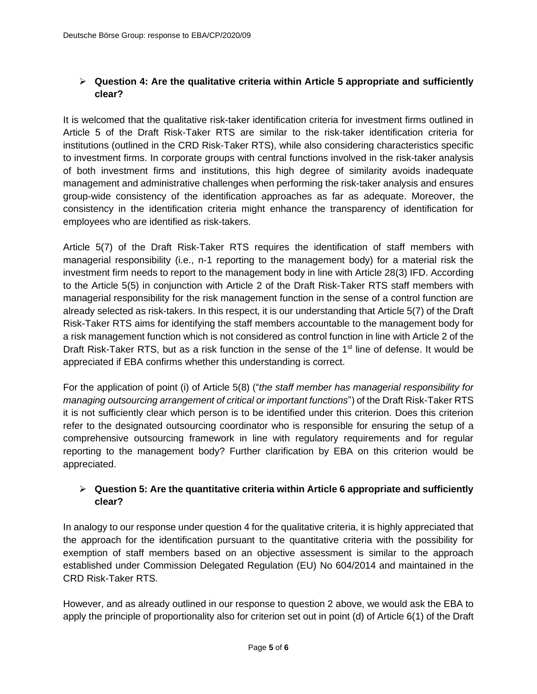#### ➢ **Question 4: Are the qualitative criteria within Article 5 appropriate and sufficiently clear?**

It is welcomed that the qualitative risk-taker identification criteria for investment firms outlined in Article 5 of the Draft Risk-Taker RTS are similar to the risk-taker identification criteria for institutions (outlined in the CRD Risk-Taker RTS), while also considering characteristics specific to investment firms. In corporate groups with central functions involved in the risk-taker analysis of both investment firms and institutions, this high degree of similarity avoids inadequate management and administrative challenges when performing the risk-taker analysis and ensures group-wide consistency of the identification approaches as far as adequate. Moreover, the consistency in the identification criteria might enhance the transparency of identification for employees who are identified as risk-takers.

Article 5(7) of the Draft Risk-Taker RTS requires the identification of staff members with managerial responsibility (i.e., n-1 reporting to the management body) for a material risk the investment firm needs to report to the management body in line with Article 28(3) IFD. According to the Article 5(5) in conjunction with Article 2 of the Draft Risk-Taker RTS staff members with managerial responsibility for the risk management function in the sense of a control function are already selected as risk-takers. In this respect, it is our understanding that Article 5(7) of the Draft Risk-Taker RTS aims for identifying the staff members accountable to the management body for a risk management function which is not considered as control function in line with Article 2 of the Draft Risk-Taker RTS, but as a risk function in the sense of the  $1<sup>st</sup>$  line of defense. It would be appreciated if EBA confirms whether this understanding is correct.

For the application of point (i) of Article 5(8) ("*the staff member has managerial responsibility for managing outsourcing arrangement of critical or important functions*") of the Draft Risk-Taker RTS it is not sufficiently clear which person is to be identified under this criterion. Does this criterion refer to the designated outsourcing coordinator who is responsible for ensuring the setup of a comprehensive outsourcing framework in line with regulatory requirements and for regular reporting to the management body? Further clarification by EBA on this criterion would be appreciated.

#### ➢ **Question 5: Are the quantitative criteria within Article 6 appropriate and sufficiently clear?**

In analogy to our response under question 4 for the qualitative criteria, it is highly appreciated that the approach for the identification pursuant to the quantitative criteria with the possibility for exemption of staff members based on an objective assessment is similar to the approach established under Commission Delegated Regulation (EU) No 604/2014 and maintained in the CRD Risk-Taker RTS.

However, and as already outlined in our response to question 2 above, we would ask the EBA to apply the principle of proportionality also for criterion set out in point (d) of Article 6(1) of the Draft